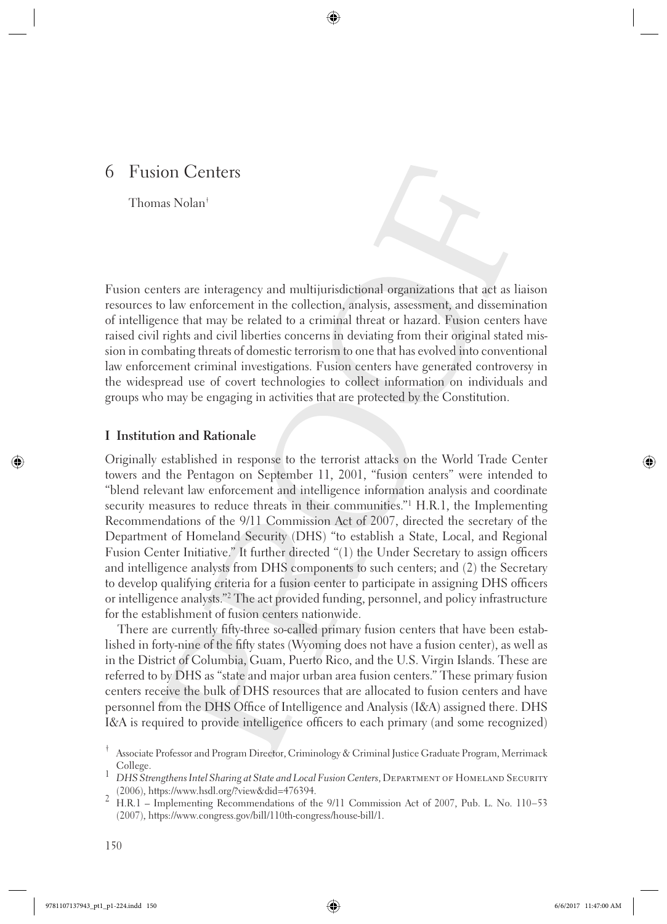Thomas Nolan<sup>+</sup>

 Fusion centers are interagency and multijurisdictional organizations that act as liaison resources to law enforcement in the collection, analysis, assessment, and dissemination of intelligence that may be related to a criminal threat or hazard. Fusion centers have raised civil rights and civil liberties concerns in deviating from their original stated mission in combating threats of domestic terrorism to one that has evolved into conventional law enforcement criminal investigations. Fusion centers have generated controversy in the widespread use of covert technologies to collect information on individuals and groups who may be engaging in activities that are protected by the Constitution.

⊕

## **I Institution and Rationale**

 Originally established in response to the terrorist attacks on the World Trade Center towers and the Pentagon on September 11, 2001, "fusion centers" were intended to " blend relevant law enforcement and intelligence information analysis and coordinate security measures to reduce threats in their communities."<sup>1</sup> H.R.1, the Implementing Recommendations of the 9/11 Commission Act of 2007, directed the secretary of the Department of Homeland Security (DHS) "to establish a State, Local, and Regional Fusion Center Initiative." It further directed " $(1)$  the Under Secretary to assign officers and intelligence analysts from DHS components to such centers; and (2) the Secretary to develop qualifying criteria for a fusion center to participate in assigning DHS officers or intelligence analysts."<sup>2</sup> The act provided funding, personnel, and policy infrastructure for the establishment of fusion centers nationwide.

There are currently fifty-three so-called primary fusion centers that have been established in forty-nine of the fifty states (Wyoming does not have a fusion center), as well as in the District of Columbia, Guam, Puerto Rico, and the U.S. Virgin Islands. These are referred to by DHS as "state and major urban area fusion centers." These primary fusion centers receive the bulk of DHS resources that are allocated to fusion centers and have personnel from the DHS Office of Intelligence and Analysis (I&A) assigned there. DHS I&A is required to provide intelligence officers to each primary (and some recognized) ↔

<sup>†</sup> Associate Professor and Program Director, Criminology & Criminal Justice Graduate Program, Merrimack

<sup>&</sup>lt;sup>1</sup> DHS Strengthens Intel Sharing at State and Local Fusion Centers, DEPARTMENT OF HOMELAND SECURITY

<sup>2 (2006),</sup> https://www.hsdl.org/?view&did=476394.<br><sup>2</sup> H.R.1 – Implementing Recommendations of the 9/11 Commission Act of 2007, Pub. L. No. 110−53 (2007), https://www.congress.gov/bill/110th-congress/house-bill/1.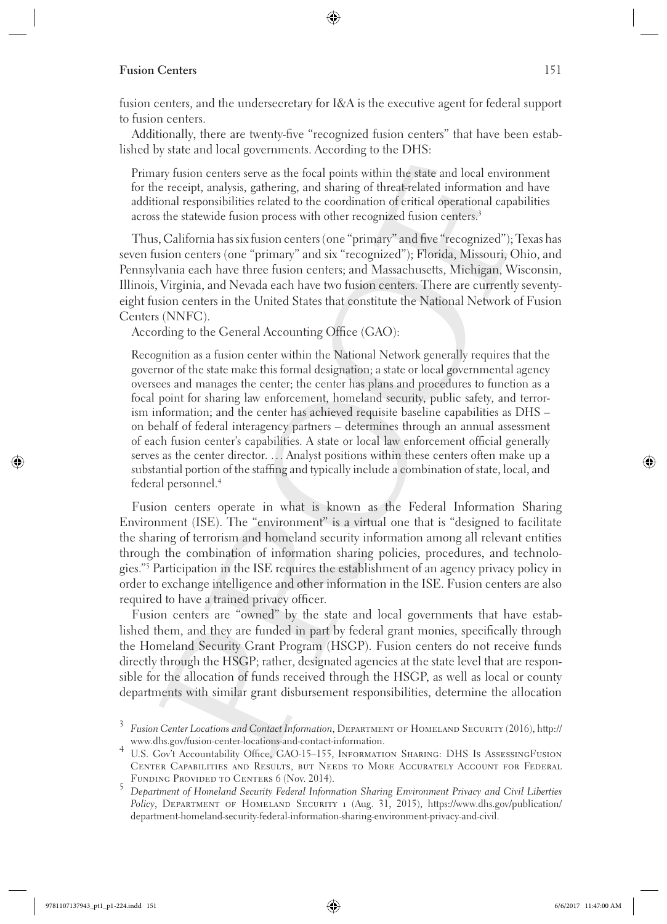fusion centers, and the undersecretary for I&A is the executive agent for federal support to fusion centers.

⊕

Additionally, there are twenty-five "recognized fusion centers" that have been established by state and local governments. According to the DHS:

 Primary fusion centers serve as the focal points within the state and local environment for the receipt, analysis, gathering, and sharing of threat- related information and have additional responsibilities related to the coordination of critical operational capabilities across the statewide fusion process with other recognized fusion centers.<sup>3</sup>

Thus, California has six fusion centers (one "primary" and five "recognized"); Texas has seven fusion centers (one "primary" and six "recognized"); Florida, Missouri, Ohio, and Pennsylvania each have three fusion centers; and Massachusetts, Michigan, Wisconsin, Illinois, Virginia, and Nevada each have two fusion centers. There are currently seventyeight fusion centers in the United States that constitute the National Network of Fusion Centers (NNFC).

According to the General Accounting Office (GAO):

 Recognition as a fusion center within the National Network generally requires that the governor of the state make this formal designation; a state or local governmental agency oversees and manages the center; the center has plans and procedures to function as a focal point for sharing law enforcement, homeland security, public safety, and terrorism information; and the center has achieved requisite baseline capabilities as DHS – on behalf of federal interagency partners – determines through an annual assessment of each fusion center's capabilities. A state or local law enforcement official generally serves as the center director. . . . Analyst positions within these centers often make up a substantial portion of the staffing and typically include a combination of state, local, and federal personnel. 4

 Fusion centers operate in what is known as the Federal Information Sharing Environment (ISE). The "environment" is a virtual one that is "designed to facilitate the sharing of terrorism and homeland security information among all relevant entities through the combination of information sharing policies, procedures, and technologies."<sup>5</sup> Participation in the ISE requires the establishment of an agency privacy policy in order to exchange intelligence and other information in the ISE. Fusion centers are also required to have a trained privacy officer.

Fusion centers are "owned" by the state and local governments that have established them, and they are funded in part by federal grant monies, specifically through the Homeland Security Grant Program (HSGP). Fusion centers do not receive funds directly through the HSGP; rather, designated agencies at the state level that are responsible for the allocation of funds received through the HSGP, as well as local or county departments with similar grant disbursement responsibilities, determine the allocation

↔

<sup>3</sup> *Fusion Center Locations and Contact Information* , Department of Homeland Security (2016), http:// www.dhs.gov/fusion-center-locations-and-contact-information.

U.S. Gov't Accountability Office, GAO-15-155, INFORMATION SHARING: DHS Is ASSESSINGFUSION Center Capabilities and Results, but Needs to More Accurately Account for Federal

Funding Provided to Centers 6 (Nov. 2014). 5 *Department of Homeland Security Federal Information Sharing Environment Privacy and Civil Liberties*  Policy, DEPARTMENT OF HOMELAND SECURITY 1 (Aug. 31, 2015), https://www.dhs.gov/publication/ department-homeland-security-federal-information-sharing-environment-privacy-and-civil.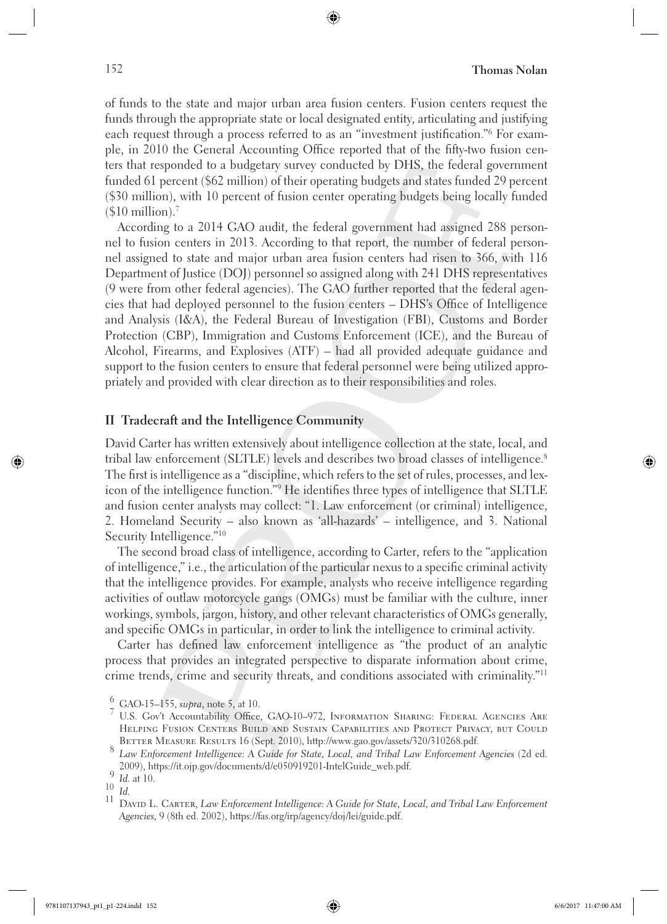of funds to the state and major urban area fusion centers. Fusion centers request the funds through the appropriate state or local designated entity, articulating and justifying each request through a process referred to as an "investment justification."<sup>6</sup> For example, in 2010 the General Accounting Office reported that of the fifty-two fusion centers that responded to a budgetary survey conducted by DHS, the federal government funded 61 percent (\$62 million) of their operating budgets and states funded 29 percent (\$30 million), with 10 percent of fusion center operating budgets being locally funded  $$10$  million).<sup>7</sup>

⊕

 According to a 2014 GAO audit, the federal government had assigned 288 personnel to fusion centers in 2013. According to that report, the number of federal personnel assigned to state and major urban area fusion centers had risen to 366, with 116 Department of Justice (DOJ) personnel so assigned along with 241 DHS representatives (9 were from other federal agencies). The GAO further reported that the federal agencies that had deployed personnel to the fusion centers – DHS's Office of Intelligence and Analysis (I&A), the Federal Bureau of Investigation (FBI), Customs and Border Protection (CBP), Immigration and Customs Enforcement (ICE), and the Bureau of Alcohol, Firearms, and Explosives (ATF) – had all provided adequate guidance and support to the fusion centers to ensure that federal personnel were being utilized appropriately and provided with clear direction as to their responsibilities and roles.

# **II Tradecraft and the Intelligence Community**

 David Carter has written extensively about intelligence collection at the state, local, and tribal law enforcement (SLTLE) levels and describes two broad classes of intelligence. 8 The first is intelligence as a "discipline, which refers to the set of rules, processes, and lexicon of the intelligence function."<sup>9</sup> He identifies three types of intelligence that SLTLE and fusion center analysts may collect: "1. Law enforcement (or criminal) intelligence, 2. Homeland Security – also known as 'all-hazards' – intelligence, and 3. National Security Intelligence."<sup>10</sup>

 The second broad class of intelligence, according to Carter, refers to the " application of intelligence," i.e., the articulation of the particular nexus to a specific criminal activity that the intelligence provides. For example, analysts who receive intelligence regarding activities of outlaw motorcycle gangs (OMGs) must be familiar with the culture, inner workings, symbols, jargon, history, and other relevant characteristics of OMGs generally, and specific OMGs in particular, in order to link the intelligence to criminal activity.

Carter has defined law enforcement intelligence as "the product of an analytic process that provides an integrated perspective to disparate information about crime, crime trends, crime and security threats, and conditions associated with criminality."<sup>11</sup>

<sup>&</sup>lt;sup>6</sup> GAO-15-155, *supra*, note 5, at 10.

<sup>&</sup>lt;sup>o</sup> GAO-15–155, s*upra*, note 5, at 10.<br><sup>7</sup> U.S. Gov't Accountability Office, GAO-10–972, Information Sharing: Federal Agencies Are Helping Fusion Centers Build and Sustain Capabilities and Protect Privacy, but Could

<sup>8</sup> BETTER MEASURE RESULTS 16 (Sept. 2010), http://www.gao.gov/assets/320/310268.pdf.<br><sup>8</sup> Law Enforcement Intelligence: A Guide for State, Local, and Tribal Law Enforcement Agencies (2d ed. 2009), https://it.ojp.gov/documents/d/e050919201-IntelGuide\_web.pdf.<br>9 Id. at 10.

*Id.* at 10.

<sup>10</sup> *Id.*

<sup>&</sup>lt;sup>11</sup> DAVID L. CARTER, *Law Enforcement Intelligence: A Guide for State, Local, and Tribal Law Enforcement* Agencies, 9 (8th ed. 2002), https://fas.org/irp/agency/doj/lei/guide.pdf.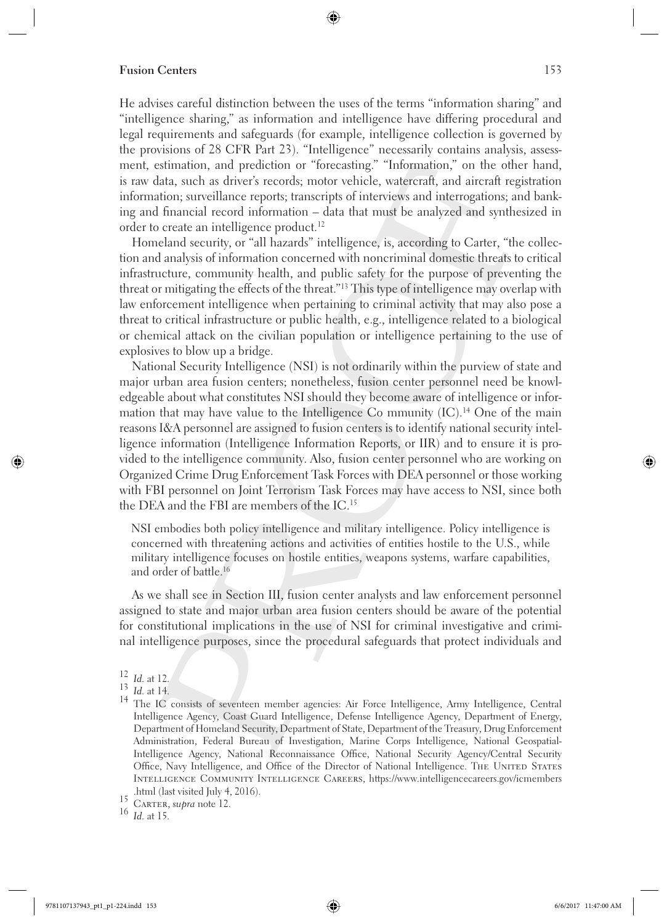He advises careful distinction between the uses of the terms "information sharing" and "intelligence sharing," as information and intelligence have differing procedural and legal requirements and safeguards (for example, intelligence collection is governed by the provisions of 28 CFR Part 23). "Intelligence" necessarily contains analysis, assessment, estimation, and prediction or "forecasting." "Information," on the other hand, is raw data, such as driver's records; motor vehicle, watercraft, and aircraft registration information; surveillance reports; transcripts of interviews and interrogations; and banking and financial record information – data that must be analyzed and synthesized in order to create an intelligence product. 12

⊕

Homeland security, or "all hazards" intelligence, is, according to Carter, "the collection and analysis of information concerned with noncriminal domestic threats to critical infrastructure, community health, and public safety for the purpose of preventing the threat or mitigating the effects of the threat."<sup>13</sup> This type of intelligence may overlap with law enforcement intelligence when pertaining to criminal activity that may also pose a threat to critical infrastructure or public health, e.g., intelligence related to a biological or chemical attack on the civilian population or intelligence pertaining to the use of explosives to blow up a bridge.

 National Security Intelligence (NSI) is not ordinarily within the purview of state and major urban area fusion centers; nonetheless, fusion center personnel need be knowledgeable about what constitutes NSI should they become aware of intelligence or information that may have value to the Intelligence Co mmunity  $(IC).^{14}$  One of the main reasons I&A personnel are assigned to fusion centers is to identify national security intelligence information (Intelligence Information Reports, or IIR) and to ensure it is provided to the intelligence community. Also, fusion center personnel who are working on Organized Crime Drug Enforcement Task Forces with DEA personnel or those working with FBI personnel on Joint Terrorism Task Forces may have access to NSI, since both the DEA and the FBI are members of the IC.<sup>15</sup>

 NSI embodies both policy intelligence and military intelligence. Policy intelligence is concerned with threatening actions and activities of entities hostile to the U.S., while military intelligence focuses on hostile entities, weapons systems, warfare capabilities, and order of battle. 16

As we shall see in Section III, fusion center analysts and law enforcement personnel assigned to state and major urban area fusion centers should be aware of the potential for constitutional implications in the use of NSI for criminal investigative and criminal intelligence purposes, since the procedural safeguards that protect individuals and

16 *Id.* at 15.

<sup>12</sup> *Id.* at 12.

<sup>13</sup> *Id.* at 14.

<sup>14</sup> The IC consists of seventeen member agencies: Air Force Intelligence, Army Intelligence, Central Intelligence Agency, Coast Guard Intelligence, Defense Intelligence Agency, Department of Energy, Department of Homeland Security, Department of State, Department of the Treasury, Drug Enforcement Administration, Federal Bureau of Investigation, Marine Corps Intelligence, National Geospatial-Intelligence Agency, National Reconnaissance Office, National Security Agency/Central Security Office, Navy Intelligence, and Office of the Director of National Intelligence. The UNITED STATES Intelligence Community Intelligence Careers , https:// www.intelligencecareers.gov/ icmembers .html (last visited July 4, 2016).<br><sup>15</sup> CARTER, *supra* note 12.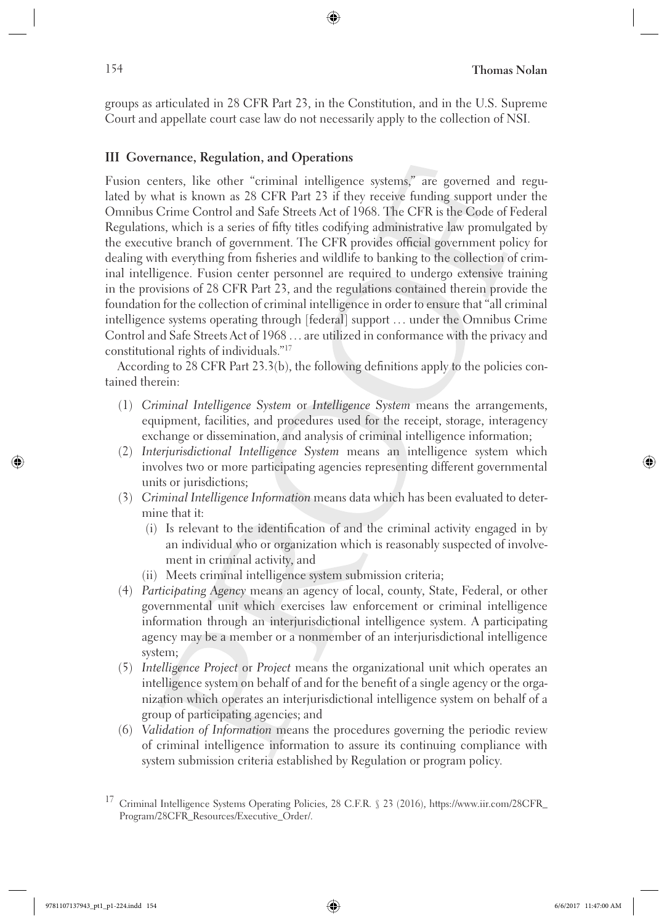groups as articulated in 28 CFR Part 23, in the Constitution, and in the U.S. Supreme Court and appellate court case law do not necessarily apply to the collection of NSI.

⊕

# **III Governance, Regulation, and Operations**

Fusion centers, like other "criminal intelligence systems," are governed and regulated by what is known as 28 CFR Part 23 if they receive funding support under the Omnibus Crime Control and Safe Streets Act of 1968 . The CFR is the Code of Federal Regulations, which is a series of fifty titles codifying administrative law promulgated by the executive branch of government. The CFR provides official government policy for dealing with everything from fisheries and wildlife to banking to the collection of criminal intelligence. Fusion center personnel are required to undergo extensive training in the provisions of 28 CFR Part 23, and the regulations contained therein provide the foundation for the collection of criminal intelligence in order to ensure that " all criminal intelligence systems operating through [federal] support . . . under the Omnibus Crime Control and Safe Streets Act of 1968 . . . are utilized in conformance with the privacy and constitutional rights of individuals."<sup>17</sup>

According to 28 CFR Part 23.3(b), the following definitions apply to the policies contained therein:

- (1) *Criminal Intelligence System* or *Intelligence System* means the arrangements, equipment, facilities, and procedures used for the receipt, storage, interagency exchange or dissemination, and analysis of criminal intelligence information;
- (2) *Interjurisdictional Intelligence System* means an intelligence system which involves two or more participating agencies representing different governmental units or jurisdictions;
- (3) *Criminal Intelligence Information* means data which has been evaluated to determine that it:
	- $(i)$  Is relevant to the identification of and the criminal activity engaged in by an individual who or organization which is reasonably suspected of involvement in criminal activity, and
	- (ii) Meets criminal intelligence system submission criteria;
- (4) *Participating Agency* means an agency of local, county, State, Federal, or other governmental unit which exercises law enforcement or criminal intelligence information through an interjurisdictional intelligence system. A participating agency may be a member or a nonmember of an interjurisdictional intelligence system;
- (5) *Intelligence Project* or *Project* means the organizational unit which operates an intelligence system on behalf of and for the benefit of a single agency or the organization which operates an interjurisdictional intelligence system on behalf of a group of participating agencies; and
- (6) *Validation of Information* means the procedures governing the periodic review of criminal intelligence information to assure its continuing compliance with system submission criteria established by Regulation or program policy.

9781107137943\_pt1\_p1-224.indd 154 6/6/2017 11:47:00 AM 6/6/2017 11:47:00 AM

<sup>&</sup>lt;sup>17</sup> Criminal Intelligence Systems Operating Policies, 28 C.F.R. § 23 (2016), https://www.iir.com/28CFR\_ Program/28CFR\_Resources/Executive\_Order/.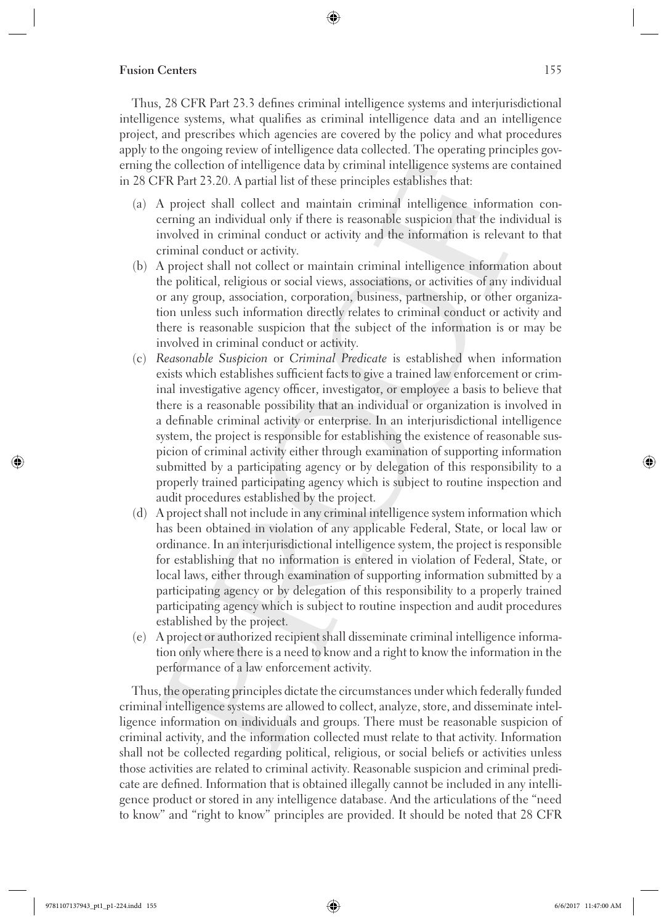Thus, 28 CFR Part 23.3 defines criminal intelligence systems and interjurisdictional intelligence systems, what qualifies as criminal intelligence data and an intelligence project, and prescribes which agencies are covered by the policy and what procedures apply to the ongoing review of intelligence data collected. The operating principles governing the collection of intelligence data by criminal intelligence systems are contained in 28 CFR Part 23.20. A partial list of these principles establishes that:

⊕

- (a) A project shall collect and maintain criminal intelligence information concerning an individual only if there is reasonable suspicion that the individual is involved in criminal conduct or activity and the information is relevant to that criminal conduct or activity.
- (b) A project shall not collect or maintain criminal intelligence information about the political, religious or social views, associations, or activities of any individual or any group, association, corporation, business, partnership, or other organization unless such information directly relates to criminal conduct or activity and there is reasonable suspicion that the subject of the information is or may be involved in criminal conduct or activity.
- (c) *Reasonable Suspicion* or *Criminal Predicate* is established when information exists which establishes sufficient facts to give a trained law enforcement or criminal investigative agency officer, investigator, or employee a basis to believe that there is a reasonable possibility that an individual or organization is involved in a definable criminal activity or enterprise. In an interjurisdictional intelligence system, the project is responsible for establishing the existence of reasonable suspicion of criminal activity either through examination of supporting information submitted by a participating agency or by delegation of this responsibility to a properly trained participating agency which is subject to routine inspection and audit procedures established by the project.
- (d) A project shall not include in any criminal intelligence system information which has been obtained in violation of any applicable Federal, State, or local law or ordinance. In an interjurisdictional intelligence system, the project is responsible for establishing that no information is entered in violation of Federal, State, or local laws, either through examination of supporting information submitted by a participating agency or by delegation of this responsibility to a properly trained participating agency which is subject to routine inspection and audit procedures established by the project.
- (e) A project or authorized recipient shall disseminate criminal intelligence information only where there is a need to know and a right to know the information in the performance of a law enforcement activity.

 Thus, the operating principles dictate the circumstances under which federally funded criminal intelligence systems are allowed to collect, analyze, store, and disseminate intelligence information on individuals and groups. There must be reasonable suspicion of criminal activity, and the information collected must relate to that activity. Information shall not be collected regarding political, religious, or social beliefs or activities unless those activities are related to criminal activity. Reasonable suspicion and criminal predicate are defined. Information that is obtained illegally cannot be included in any intelligence product or stored in any intelligence database. And the articulations of the " need to know" and "right to know" principles are provided. It should be noted that 28 CFR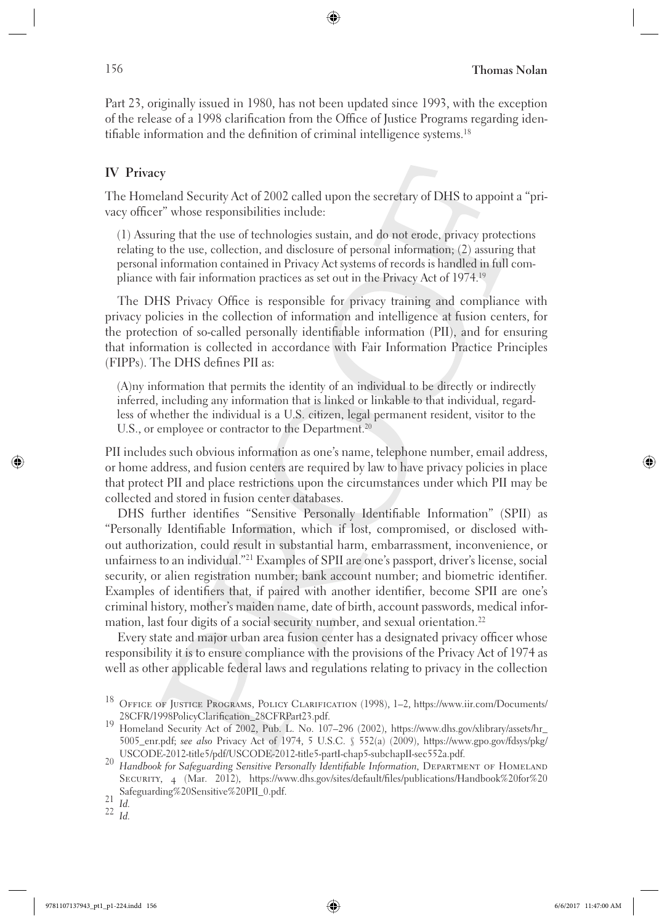Part 23, originally issued in 1980, has not been updated since 1993, with the exception of the release of a 1998 clarification from the Office of Justice Programs regarding identifiable information and the definition of criminal intelligence systems.<sup>18</sup>

⊕

# **IV Privacy**

 The Homeland Security Act of 2002 called upon the secretary of DHS to appoint a " privacy officer" whose responsibilities include:

 (1) Assuring that the use of technologies sustain, and do not erode, privacy protections relating to the use, collection, and disclosure of personal information; (2) assuring that personal information contained in Privacy Act systems of records is handled in full compliance with fair information practices as set out in the Privacy Act of 1974. 19

The DHS Privacy Office is responsible for privacy training and compliance with privacy policies in the collection of information and intelligence at fusion centers, for the protection of so-called personally identifiable information (PII), and for ensuring that information is collected in accordance with Fair Information Practice Principles (FIPPs). The DHS defines PII as:

 (A)ny information that permits the identity of an individual to be directly or indirectly inferred, including any information that is linked or linkable to that individual, regardless of whether the individual is a U.S. citizen, legal permanent resident, visitor to the U.S., or employee or contractor to the Department.<sup>20</sup>

PII includes such obvious information as one's name, telephone number, email address, or home address, and fusion centers are required by law to have privacy policies in place that protect PII and place restrictions upon the circumstances under which PII may be collected and stored in fusion center databases.

DHS further identifies "Sensitive Personally Identifiable Information" (SPII) as "Personally Identifiable Information, which if lost, compromised, or disclosed without authorization, could result in substantial harm, embarrassment, inconvenience, or unfairness to an individual."<sup>21</sup> Examples of SPII are one's passport, driver's license, social security, or alien registration number; bank account number; and biometric identifier. Examples of identifiers that, if paired with another identifier, become SPII are one's criminal history, mother's maiden name, date of birth, account passwords, medical information, last four digits of a social security number, and sexual orientation.<sup>22</sup>

Every state and major urban area fusion center has a designated privacy officer whose responsibility it is to ensure compliance with the provisions of the Privacy Act of 1974 as well as other applicable federal laws and regulations relating to privacy in the collection

OFFICE OF JUSTICE PROGRAMS, POLICY CLARIFICATION (1998), 1-2, https://www.iir.com/Documents/

<sup>28</sup>CFR/1998PolicyClarification\_28CFRPart23.pdf.<br>
19 Homeland Security Act of 2002, Pub. L. No. 107–296 (2002), https://www.dhs.gov/xlibrary/assets/hr\_ 5005\_enr.pdf; *see also* Privacy Act of 1974, 5 U.S.C. § 552(a) (2009), https://www.gpo.gov/fdsys/pkg/

USCODE- 2012- title5/ pdf/ USCODE- 2012- title5- partI- chap5- subchapII- sec552a.pdf . 20 *Handbook for Safeguarding Sensitive Personally Identifi able Information,* Department of Homeland SECURITY, 4 (Mar. 2012), https://www.dhs.gov/sites/default/files/publications/Handbook%20for%20 Safeguarding%20Sensitive%20PII\_0.pdf.<br> *Id.* 

<sup>22</sup> *Id.*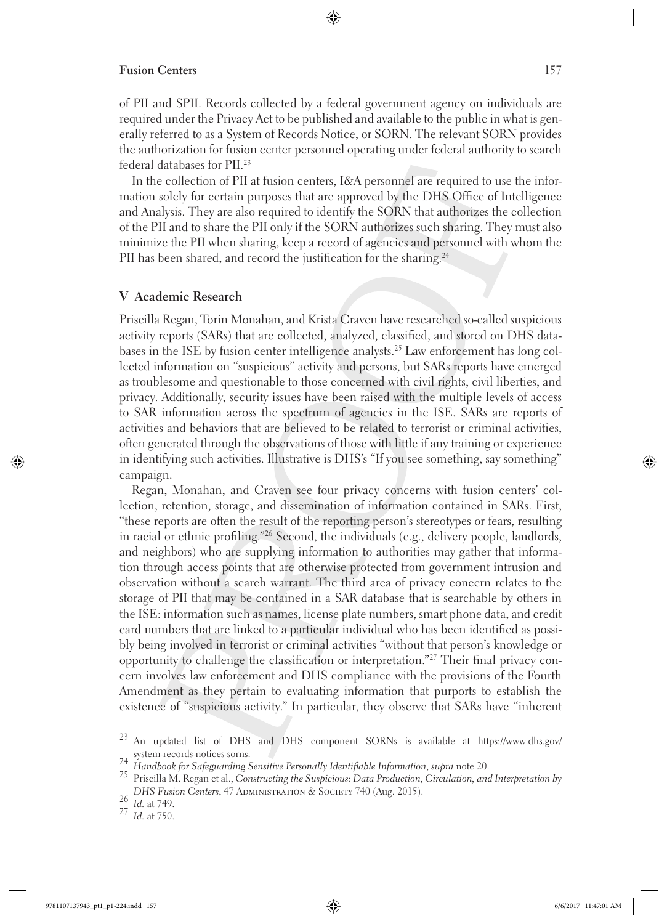of PII and SPII. Records collected by a federal government agency on individuals are required under the Privacy Act to be published and available to the public in what is generally referred to as a System of Records Notice, or SORN. The relevant SORN provides the authorization for fusion center personnel operating under federal authority to search federal databases for PII. 23

⊕

 In the collection of PII at fusion centers, I&A personnel are required to use the information solely for certain purposes that are approved by the DHS Office of Intelligence and Analysis. They are also required to identify the SORN that authorizes the collection of the PII and to share the PII only if the SORN authorizes such sharing. They must also minimize the PII when sharing, keep a record of agencies and personnel with whom the PII has been shared, and record the justification for the sharing.<sup>24</sup>

# **V Academic Research**

Priscilla Regan, Torin Monahan, and Krista Craven have researched so-called suspicious activity reports (SARs) that are collected, analyzed, classified, and stored on DHS databases in the ISE by fusion center intelligence analysts. 25 Law enforcement has long collected information on "suspicious" activity and persons, but SARs reports have emerged as troublesome and questionable to those concerned with civil rights, civil liberties, and privacy. Additionally, security issues have been raised with the multiple levels of access to SAR information across the spectrum of agencies in the ISE. SARs are reports of activities and behaviors that are believed to be related to terrorist or criminal activities, often generated through the observations of those with little if any training or experience in identifying such activities. Illustrative is DHS's "If you see something, say something" campaign.

Regan, Monahan, and Craven see four privacy concerns with fusion centers' collection, retention, storage, and dissemination of information contained in SARs. First, " these reports are often the result of the reporting person's stereotypes or fears, resulting in racial or ethnic profiling."<sup>26</sup> Second, the individuals (e.g., delivery people, landlords, and neighbors) who are supplying information to authorities may gather that information through access points that are otherwise protected from government intrusion and observation without a search warrant. The third area of privacy concern relates to the storage of PII that may be contained in a SAR database that is searchable by others in the ISE: information such as names, license plate numbers, smart phone data, and credit card numbers that are linked to a particular individual who has been identified as possibly being involved in terrorist or criminal activities "without that person's knowledge or opportunity to challenge the classification or interpretation."<sup>27</sup> Their final privacy concern involves law enforcement and DHS compliance with the provisions of the Fourth Amendment as they pertain to evaluating information that purports to establish the existence of "suspicious activity." In particular, they observe that SARs have "inherent

9781107137943\_pt1\_p1-224.indd 157 6/6/2017 11:47:01 AM **11:47:01** AM **11:47:01** AM **11:47:01** AM **11:47:01** AM **11:47:01** AM **11:47:01** AM **11:47:01** AM **11:47:01** AM **11:47:01** AM **11:47:01** AM **11:47:01** AM **11:47:01** AM

An updated list of DHS and DHS component SORNs is available at https://www.dhs.gov/ system- records- notices- sorns . 24 *Handbook for Safeguarding Sensitive Personally Identifi able Information* , *supra* note 20 .

<sup>25</sup> Priscilla M. Regan et al., *Constructing the Suspicious: Data Production, Circulation, and Interpretation by DHS Fusion Centers*, 47 ADMINISTRATION & SOCIETY 740 (Aug. 2015). *Id.* at 749.

<sup>27</sup> *Id.* at 750.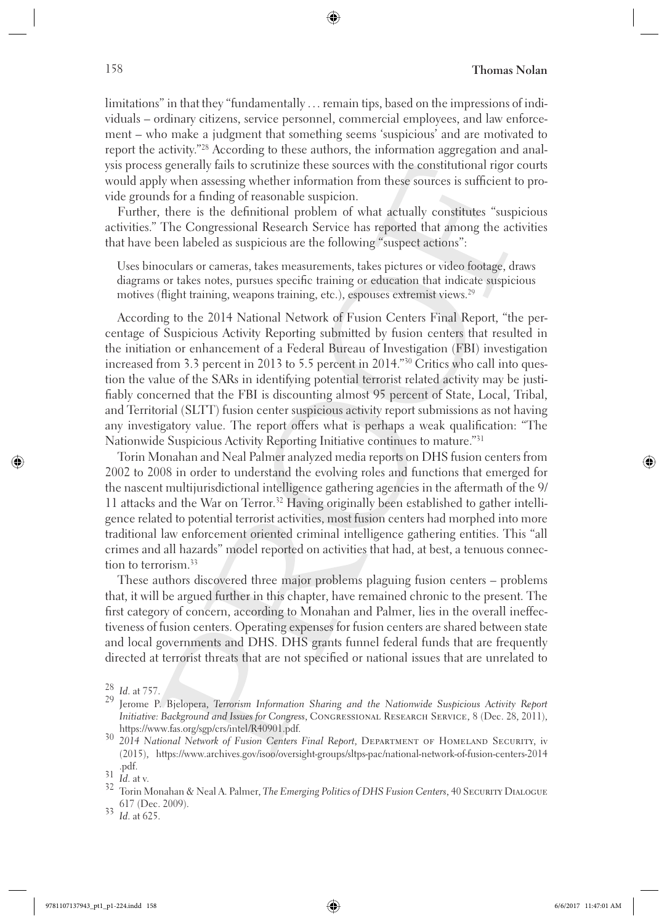limitations" in that they "fundamentally . . . remain tips, based on the impressions of individuals – ordinary citizens, service personnel, commercial employees, and law enforcement – who make a judgment that something seems 'suspicious' and are motivated to report the activity."<sup>28</sup> According to these authors, the information aggregation and analysis process generally fails to scrutinize these sources with the constitutional rigor courts would apply when assessing whether information from these sources is sufficient to provide grounds for a finding of reasonable suspicion.

⊕

Further, there is the definitional problem of what actually constitutes "suspicious" activities. " The Congressional Research Service has reported that among the activities that have been labeled as suspicious are the following "suspect actions":

 Uses binoculars or cameras, takes measurements, takes pictures or video footage, draws diagrams or takes notes, pursues specific training or education that indicate suspicious motives (flight training, weapons training, etc.), espouses extremist views.<sup>29</sup>

 According to the 2014 National Network of Fusion Centers Final Report, " the percentage of Suspicious Activity Reporting submitted by fusion centers that resulted in the initiation or enhancement of a Federal Bureau of Investigation (FBI) investigation increased from 3.3 percent in 2013 to 5.5 percent in 2014."<sup>30</sup> Critics who call into question the value of the SARs in identifying potential terrorist related activity may be justifiably concerned that the FBI is discounting almost 95 percent of State, Local, Tribal, and Territorial (SLTT) fusion center suspicious activity report submissions as not having any investigatory value. The report offers what is perhaps a weak qualification: "The Nationwide Suspicious Activity Reporting Initiative continues to mature."<sup>31</sup>

 Torin Monahan and Neal Palmer analyzed media reports on DHS fusion centers from 2002 to 2008 in order to understand the evolving roles and functions that emerged for the nascent multijurisdictional intelligence gathering agencies in the aftermath of the 9/ 11 attacks and the War on Terror.<sup>32</sup> Having originally been established to gather intelligence related to potential terrorist activities, most fusion centers had morphed into more traditional law enforcement oriented criminal intelligence gathering entities. This "all crimes and all hazards" model reported on activities that had, at best, a tenuous connection to terrorism.<sup>33</sup>

 These authors discovered three major problems plaguing fusion centers – problems that, it will be argued further in this chapter, have remained chronic to the present. The first category of concern, according to Monahan and Palmer, lies in the overall ineffectiveness of fusion centers. Operating expenses for fusion centers are shared between state and local governments and DHS. DHS grants funnel federal funds that are frequently directed at terrorist threats that are not specified or national issues that are unrelated to

<sup>&</sup>lt;sup>28</sup> *Id.* at 757.

<sup>29</sup> Jerome P. Bjelopera, *Terrorism Information Sharing and the Nationwide Suspicious Activity Report Initiative: Background and Issues for Congress*, CONGRESSIONAL RESEARCH SERVICE, 8 (Dec. 28, 2011),

https://www.fas.org/sgp/crs/intel/R40901.pdf.<br>30 *2014 National Network of Fusion Centers Final Report*, DEPARTMENT OF HOMELAND SECURITY, iv (2015), https:// www.archives.gov/ isoo/ oversight- groups/ sltps- pac/ national- network- of- fusion- centers- 2014

 $31 \frac{\text{pdf.}}{\text{Id. at v.}}$ 

<sup>&</sup>lt;sup>32</sup> Torin Monahan & Neal A. Palmer, *The Emerging Politics of DHS Fusion Centers*, 40 SECURITY DIALOGUE 617 (Dec. 2009 ). 33 *Id* . at 625.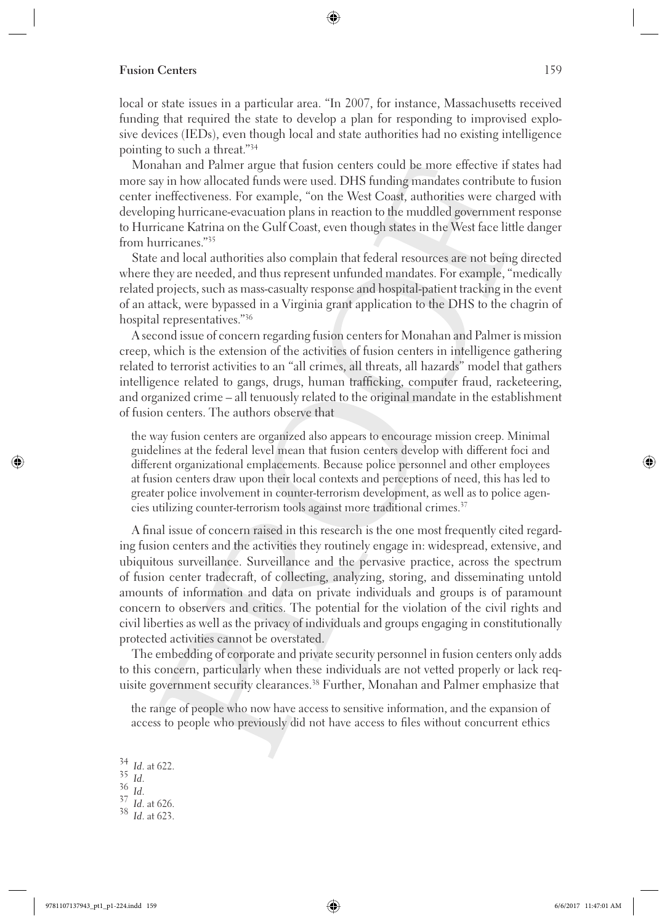local or state issues in a particular area. "In 2007, for instance, Massachusetts received funding that required the state to develop a plan for responding to improvised explosive devices (IEDs), even though local and state authorities had no existing intelligence pointing to such a threat."<sup>34</sup>

⊕

 Monahan and Palmer argue that fusion centers could be more effective if states had more say in how allocated funds were used. DHS funding mandates contribute to fusion center ineffectiveness. For example, " on the West Coast, authorities were charged with developing hurricane-evacuation plans in reaction to the muddled government response to Hurricane Katrina on the Gulf Coast, even though states in the West face little danger from hurricanes."<sup>35</sup>

 State and local authorities also complain that federal resources are not being directed where they are needed, and thus represent unfunded mandates. For example, " medically related projects, such as mass-casualty response and hospital-patient tracking in the event of an attack, were bypassed in a Virginia grant application to the DHS to the chagrin of hospital representatives."36

 A second issue of concern regarding fusion centers for Monahan and Palmer is mission creep, which is the extension of the activities of fusion centers in intelligence gathering related to terrorist activities to an "all crimes, all threats, all hazards" model that gathers intelligence related to gangs, drugs, human trafficking, computer fraud, racketeering, and organized crime – all tenuously related to the original mandate in the establishment of fusion centers. The authors observe that

 the way fusion centers are organized also appears to encourage mission creep. Minimal guidelines at the federal level mean that fusion centers develop with different foci and different organizational emplacements. Because police personnel and other employees at fusion centers draw upon their local contexts and perceptions of need, this has led to greater police involvement in counter- terrorism development, as well as to police agencies utilizing counter-terrorism tools against more traditional crimes.<sup>37</sup>

A final issue of concern raised in this research is the one most frequently cited regarding fusion centers and the activities they routinely engage in: widespread, extensive, and ubiquitous surveillance. Surveillance and the pervasive practice, across the spectrum of fusion center tradecraft, of collecting, analyzing, storing, and disseminating untold amounts of information and data on private individuals and groups is of paramount concern to observers and critics. The potential for the violation of the civil rights and civil liberties as well as the privacy of individuals and groups engaging in constitutionally protected activities cannot be overstated.

 The embedding of corporate and private security personnel in fusion centers only adds to this concern, particularly when these individuals are not vetted properly or lack requisite government security clearances. 38 Further, Monahan and Palmer emphasize that

 the range of people who now have access to sensitive information, and the expansion of access to people who previously did not have access to files without concurrent ethics

<sup>34</sup> *Id.* at 622.<br><sup>35</sup> *Id.* <sup>35</sup>*Id* . 36 *Id* . 37 *Id* . at 626. 38 *Id* . at 623.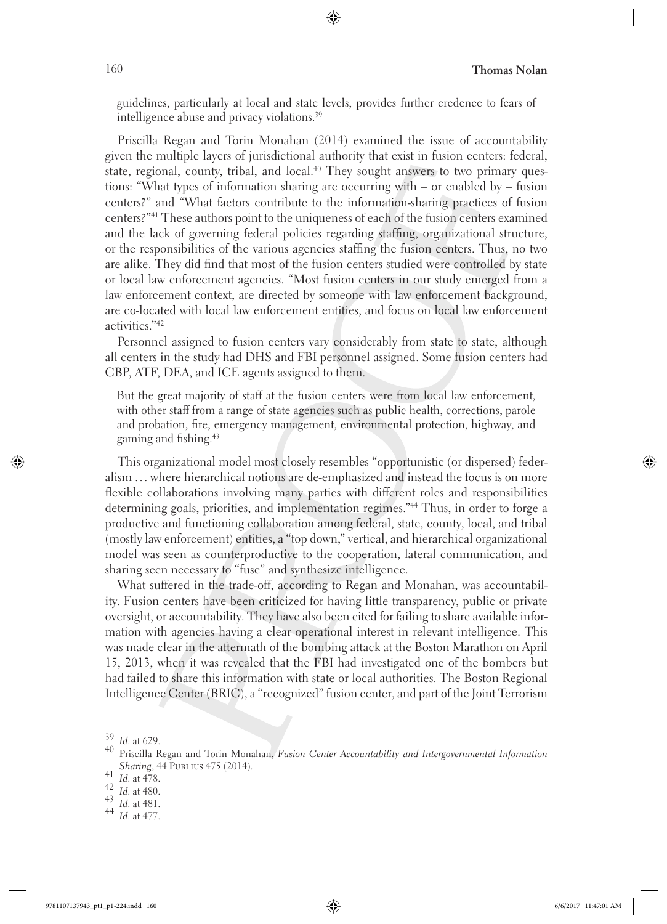guidelines, particularly at local and state levels, provides further credence to fears of intelligence abuse and privacy violations. 39

⊕

 Priscilla Regan and Torin Monahan (2014) examined the issue of accountability given the multiple layers of jurisdictional authority that exist in fusion centers: federal, state, regional, county, tribal, and local.<sup>40</sup> They sought answers to two primary questions: "What types of information sharing are occurring with – or enabled by – fusion centers?" and "What factors contribute to the information- sharing practices of fusion centers?"<sup>41</sup> These authors point to the uniqueness of each of the fusion centers examined and the lack of governing federal policies regarding staffing, organizational structure, or the responsibilities of the various agencies staffing the fusion centers. Thus, no two are alike. They did find that most of the fusion centers studied were controlled by state or local law enforcement agencies. "Most fusion centers in our study emerged from a law enforcement context, are directed by someone with law enforcement background, are co-located with local law enforcement entities, and focus on local law enforcement activities."<sup>42</sup>

 Personnel assigned to fusion centers vary considerably from state to state, although all centers in the study had DHS and FBI personnel assigned. Some fusion centers had CBP, ATF, DEA, and ICE agents assigned to them.

 But the great majority of staff at the fusion centers were from local law enforcement, with other staff from a range of state agencies such as public health, corrections, parole and probation, fire, emergency management, environmental protection, highway, and gaming and fishing.<sup>43</sup>

 This organizational model most closely resembles " opportunistic (or dispersed) federalism . . . where hierarchical notions are de- emphasized and instead the focus is on more flexible collaborations involving many parties with different roles and responsibilities determining goals, priorities, and implementation regimes."<sup>44</sup> Thus, in order to forge a productive and functioning collaboration among federal, state, county, local, and tribal (mostly law enforcement) entities, a "top down," vertical, and hierarchical organizational model was seen as counterproductive to the cooperation, lateral communication, and sharing seen necessary to "fuse" and synthesize intelligence.

What suffered in the trade-off, according to Regan and Monahan, was accountability. Fusion centers have been criticized for having little transparency, public or private oversight, or accountability. They have also been cited for failing to share available information with agencies having a clear operational interest in relevant intelligence. This was made clear in the aftermath of the bombing attack at the Boston Marathon on April 15, 2013, when it was revealed that the FBI had investigated one of the bombers but had failed to share this information with state or local authorities. The Boston Regional Intelligence Center (BRIC), a "recognized" fusion center, and part of the Joint Terrorism

↔

<sup>39</sup> *Id* . at 629.

<sup>&</sup>lt;sup>40</sup> Priscilla Regan and Torin Monahan, *Fusion Center Accountability and Intergovernmental Information Sharing* , 44 Publius 475 ( 2014 ). 41 *Id* . at 478.

<sup>42</sup> *Id* . at 480.

<sup>43</sup> *Id* . at 481.

<sup>44</sup> *Id* . at 477.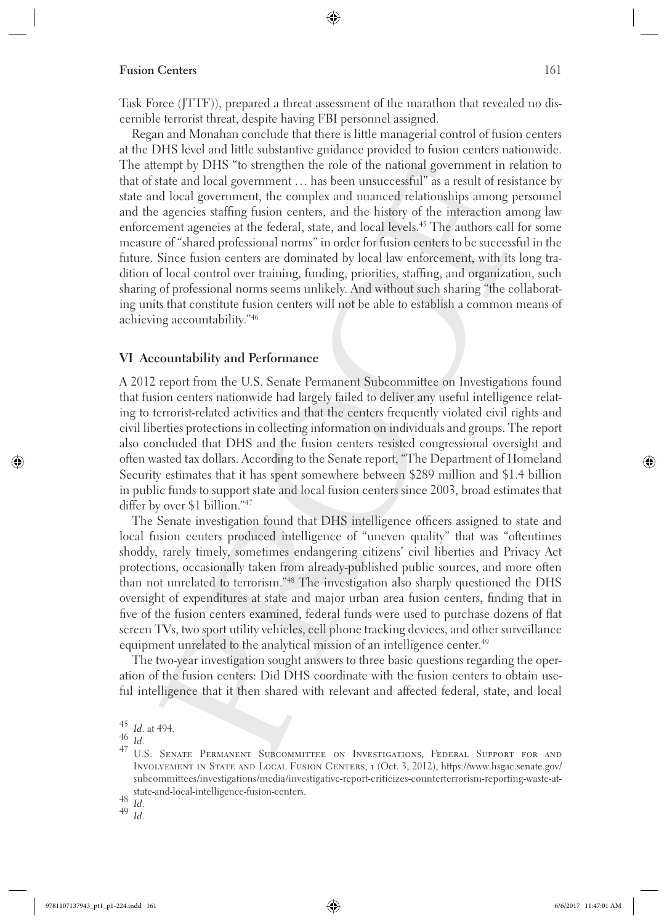Task Force (JTTF)), prepared a threat assessment of the marathon that revealed no discernible terrorist threat, despite having FBI personnel assigned.

⊕

 Regan and Monahan conclude that there is little managerial control of fusion centers at the DHS level and little substantive guidance provided to fusion centers nationwide. The attempt by DHS "to strengthen the role of the national government in relation to that of state and local government . . . has been unsuccessful " as a result of resistance by state and local government, the complex and nuanced relationships among personnel and the agencies staffing fusion centers, and the history of the interaction among law enforcement agencies at the federal, state, and local levels. 45 The authors call for some measure of "shared professional norms" in order for fusion centers to be successful in the future. Since fusion centers are dominated by local law enforcement, with its long tradition of local control over training, funding, priorities, staffing, and organization, such sharing of professional norms seems unlikely. And without such sharing "the collaborating units that constitute fusion centers will not be able to establish a common means of achieving accountability."<sup>46</sup>

## **VI Accountability and Performance**

 A 2012 report from the U.S. Senate Permanent Subcommittee on Investigations found that fusion centers nationwide had largely failed to deliver any useful intelligence relating to terrorist- related activities and that the centers frequently violated civil rights and civil liberties protections in collecting information on individuals and groups. The report also concluded that DHS and the fusion centers resisted congressional oversight and often wasted tax dollars. According to the Senate report, " The Department of Homeland Security estimates that it has spent somewhere between \$289 million and \$1.4 billion in public funds to support state and local fusion centers since 2003, broad estimates that differ by over \$1 billion."<sup>47</sup>

The Senate investigation found that DHS intelligence officers assigned to state and local fusion centers produced intelligence of "uneven quality" that was "oftentimes shoddy, rarely timely, sometimes endangering citizens' civil liberties and Privacy Act protections, occasionally taken from already-published public sources, and more often than not unrelated to terrorism."<sup>48</sup> The investigation also sharply questioned the DHS oversight of expenditures at state and major urban area fusion centers, finding that in five of the fusion centers examined, federal funds were used to purchase dozens of flat screen TVs, two sport utility vehicles, cell phone tracking devices, and other surveillance equipment unrelated to the analytical mission of an intelligence center.<sup>49</sup>

The two-year investigation sought answers to three basic questions regarding the operation of the fusion centers: Did DHS coordinate with the fusion centers to obtain useful intelligence that it then shared with relevant and affected federal, state, and local

 $\frac{45}{46}$  *Id.* at 494.

<sup>&</sup>lt;sup>47</sup> U.S. SENATE PERMANENT SUBCOMMITTEE ON INVESTIGATIONS, FEDERAL SUPPORT FOR AND Involvement in State and Local Fusion Centers, 1 (Oct. 3, 2012), https:// www.hsgac.senate.gov/ subcommittees/investigations/media/investigative-report-criticizes-counterterrorism-reporting-waste-atstate- and- local- intelligence- fusion- centers . 48 *Id* . 49 *Id* .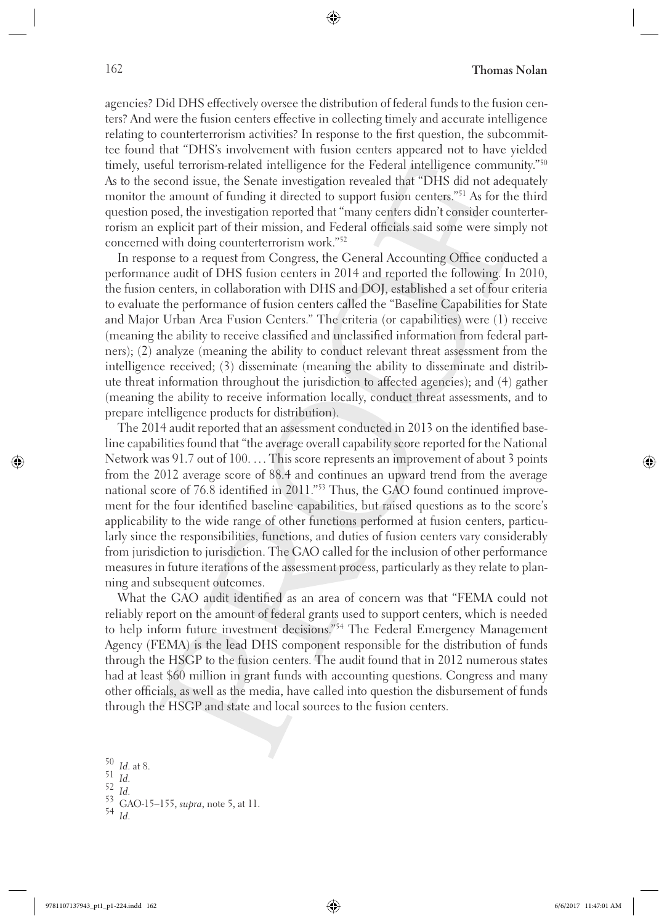agencies? Did DHS effectively oversee the distribution of federal funds to the fusion centers? And were the fusion centers effective in collecting timely and accurate intelligence relating to counterterrorism activities? In response to the first question, the subcommittee found that "DHS's involvement with fusion centers appeared not to have yielded timely, useful terrorism-related intelligence for the Federal intelligence community."<sup>50</sup> As to the second issue, the Senate investigation revealed that "DHS did not adequately monitor the amount of funding it directed to support fusion centers."<sup>51</sup> As for the third question posed, the investigation reported that "many centers didn't consider counterterrorism an explicit part of their mission, and Federal officials said some were simply not concerned with doing counterterrorism work."<sup>52</sup>

⊕

In response to a request from Congress, the General Accounting Office conducted a performance audit of DHS fusion centers in 2014 and reported the following. In 2010, the fusion centers, in collaboration with DHS and DOJ, established a set of four criteria to evaluate the performance of fusion centers called the " Baseline Capabilities for State and Major Urban Area Fusion Centers." The criteria (or capabilities) were (1) receive (meaning the ability to receive classified and unclassified information from federal partners); (2) analyze (meaning the ability to conduct relevant threat assessment from the intelligence received; (3) disseminate (meaning the ability to disseminate and distribute threat information throughout the jurisdiction to affected agencies); and (4) gather (meaning the ability to receive information locally, conduct threat assessments, and to prepare intelligence products for distribution).

The 2014 audit reported that an assessment conducted in 2013 on the identified baseline capabilities found that "the average overall capability score reported for the National Network was 91.7 out of 100.... This score represents an improvement of about 3 points from the 2012 average score of 88.4 and continues an upward trend from the average national score of 76.8 identified in 2011."<sup>53</sup> Thus, the GAO found continued improvement for the four identified baseline capabilities, but raised questions as to the score's applicability to the wide range of other functions performed at fusion centers, particularly since the responsibilities, functions, and duties of fusion centers vary considerably from jurisdiction to jurisdiction. The GAO called for the inclusion of other performance measures in future iterations of the assessment process, particularly as they relate to planning and subsequent outcomes.

What the GAO audit identified as an area of concern was that "FEMA could not reliably report on the amount of federal grants used to support centers, which is needed to help inform future investment decisions."<sup>54</sup> The Federal Emergency Management Agency (FEMA) is the lead DHS component responsible for the distribution of funds through the HSGP to the fusion centers. The audit found that in 2012 numerous states had at least \$60 million in grant funds with accounting questions. Congress and many other officials, as well as the media, have called into question the disbursement of funds through the HSGP and state and local sources to the fusion centers.

 $\frac{50}{51}$  *Id.* at 8.<br> $\frac{51}{1}$  *Id.* 52 *Id.*<br>53 GAO-15–155, *supra*, note 5, at 11.<br>54 *Id* 

↔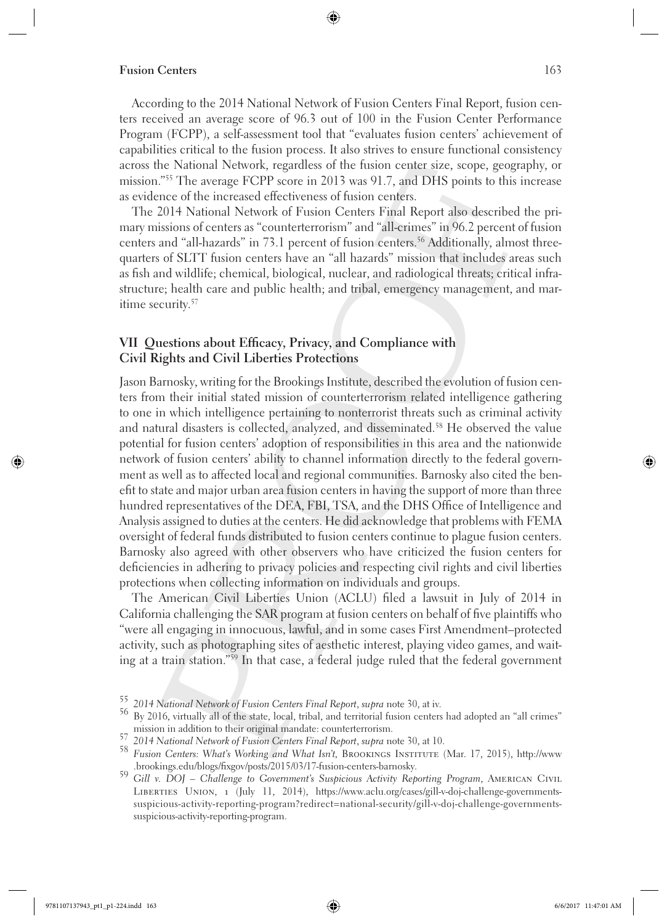According to the 2014 National Network of Fusion Centers Final Report, fusion centers received an average score of 96.3 out of 100 in the Fusion Center Performance Program (FCPP), a self-assessment tool that "evaluates fusion centers' achievement of capabilities critical to the fusion process. It also strives to ensure functional consistency across the National Network, regardless of the fusion center size, scope, geography, or mission."<sup>55</sup> The average FCPP score in 2013 was 91.7, and DHS points to this increase as evidence of the increased effectiveness of fusion centers.

⊕

 The 2014 National Network of Fusion Centers Final Report also described the primary missions of centers as "counterterrorism" and "all-crimes" in 96.2 percent of fusion centers and "all-hazards" in 73.1 percent of fusion centers.<sup>56</sup> Additionally, almost threequarters of SLTT fusion centers have an "all hazards" mission that includes areas such as fish and wildlife; chemical, biological, nuclear, and radiological threats; critical infrastructure; health care and public health; and tribal, emergency management, and maritime security. 57

# **VII Questions about Efficacy, Privacy, and Compliance with Civil Rights and Civil Liberties Protections**

 Jason Barnosky , writing for the Brookings Institute , described the evolution of fusion centers from their initial stated mission of counterterrorism related intelligence gathering to one in which intelligence pertaining to nonterrorist threats such as criminal activity and natural disasters is collected, analyzed, and disseminated. 58 He observed the value potential for fusion centers' adoption of responsibilities in this area and the nationwide network of fusion centers' ability to channel information directly to the federal government as well as to affected local and regional communities. Barnosky also cited the benefit to state and major urban area fusion centers in having the support of more than three hundred representatives of the DEA, FBI, TSA, and the DHS Office of Intelligence and Analysis assigned to duties at the centers. He did acknowledge that problems with FEMA oversight of federal funds distributed to fusion centers continue to plague fusion centers. Barnosky also agreed with other observers who have criticized the fusion centers for deficiencies in adhering to privacy policies and respecting civil rights and civil liberties protections when collecting information on individuals and groups.

The American Civil Liberties Union (ACLU) filed a lawsuit in July of 2014 in California challenging the SAR program at fusion centers on behalf of five plaintiffs who " were all engaging in innocuous, lawful, and in some cases First Amendment – protected activity, such as photographing sites of aesthetic interest, playing video games, and waiting at a train station."<sup>59</sup> In that case, a federal judge ruled that the federal government

<sup>&</sup>lt;sup>55</sup> 2014 National Network of Fusion Centers Final Report, supra note 30, at iv.<br><sup>56</sup> By 2016, virtually all of the state, local, tribal, and territorial fusion centers had adopted an "all crimes"

mission in addition to their original mandate: counterterrorism.<br>
57 2014 National Network of Fusion Centers Final Report, supra note 30, at 10.<br>
58 Fusion Centers: What's Working and What Isn't, BROOKINGS INSTITUTE (Mar.

 <sup>.</sup>brookings.edu/ blogs/ fi xgov/ posts/ 2015/ 03/ 17- fusion- centers- barnosky . 59 *Gill v. DOJ – Challenge to Government ' s Suspicious Activity Reporting Program* , American Civil LIBERTIES UNION, 1 (July 11, 2014), https://www.aclu.org/cases/gill-v-doj-challenge-governmentssuspicious- activity- reporting- program?redirect=national- security/ gill-v-doj-challenge-governments suspicious-activity-reporting-program.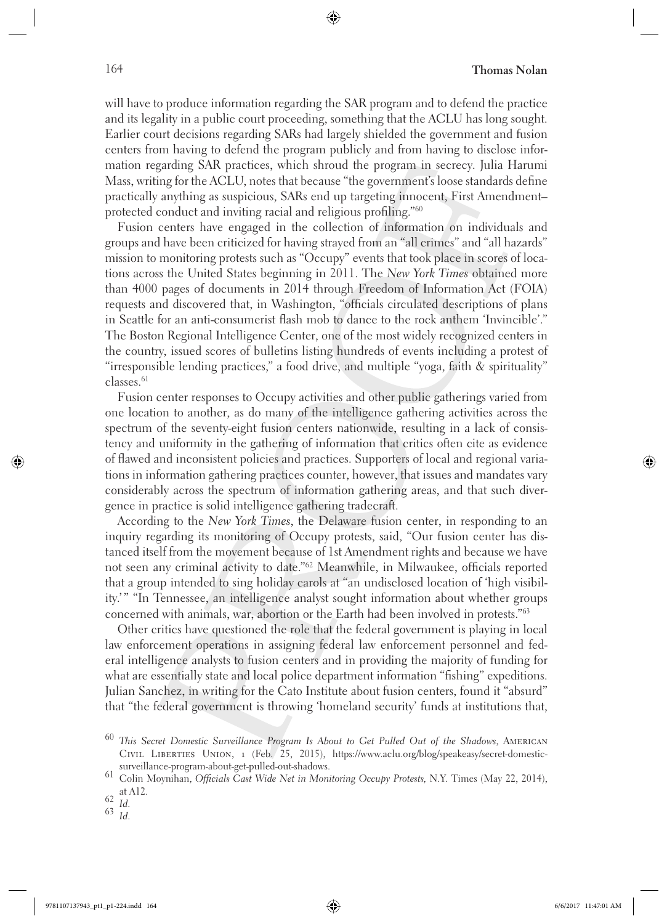will have to produce information regarding the SAR program and to defend the practice and its legality in a public court proceeding, something that the ACLU has long sought. Earlier court decisions regarding SARs had largely shielded the government and fusion centers from having to defend the program publicly and from having to disclose information regarding SAR practices, which shroud the program in secrecy. Julia Harumi Mass, writing for the ACLU, notes that because "the government's loose standards define practically anything as suspicious, SARs end up targeting innocent, First Amendment– protected conduct and inviting racial and religious profiling."<sup>60</sup>

⊕

 Fusion centers have engaged in the collection of information on individuals and groups and have been criticized for having strayed from an " all crimes " and " all hazards " mission to monitoring protests such as " Occupy " events that took place in scores of locations across the United States beginning in 2011. The *New York Times* obtained more than 4000 pages of documents in 2014 through Freedom of Information Act (FOIA) requests and discovered that, in Washington, " officials circulated descriptions of plans in Seattle for an anti-consumerist flash mob to dance to the rock anthem 'Invincible'." The Boston Regional Intelligence Center, one of the most widely recognized centers in the country, issued scores of bulletins listing hundreds of events including a protest of " irresponsible lending practices," a food drive, and multiple "yoga, faith & spirituality" classes. 61

 Fusion center responses to Occupy activities and other public gatherings varied from one location to another, as do many of the intelligence gathering activities across the spectrum of the seventy-eight fusion centers nationwide, resulting in a lack of consistency and uniformity in the gathering of information that critics often cite as evidence of flawed and inconsistent policies and practices. Supporters of local and regional variations in information gathering practices counter, however, that issues and mandates vary considerably across the spectrum of information gathering areas, and that such divergence in practice is solid intelligence gathering tradecraft.

 According to the *New York Times* , the Delaware fusion center, in responding to an inquiry regarding its monitoring of Occupy protests, said, " Our fusion center has distanced itself from the movement because of 1st Amendment rights and because we have not seen any criminal activity to date."<sup>62</sup> Meanwhile, in Milwaukee, officials reported that a group intended to sing holiday carols at "an undisclosed location of 'high visibility.' " "In Tennessee, an intelligence analyst sought information about whether groups concerned with animals, war, abortion or the Earth had been involved in protests."<sup>63</sup>

 Other critics have questioned the role that the federal government is playing in local law enforcement operations in assigning federal law enforcement personnel and federal intelligence analysts to fusion centers and in providing the majority of funding for what are essentially state and local police department information "fishing" expeditions. Julian Sanchez, in writing for the Cato Institute about fusion centers, found it "absurd" that " the federal government is throwing ' homeland security ' funds at institutions that,

<sup>60</sup> *This Secret Domestic Surveillance Program Is About to Get Pulled Out of the Shadows* , American CIVIL LIBERTIES UNION, 1 (Feb. 25, 2015), https://www.aclu.org/blog/speakeasy/secret-domestic-

surveillance-program-about-get-pulled-out-shadows.<br><sup>61</sup> Colin Moynihan, *Officials Cast Wide Net in Monitoring Occupy Protests*, N.Y. Times (May 22, 2014), at A12.

 $\begin{array}{c} 62 \\ 63 \end{array}$  *Id* .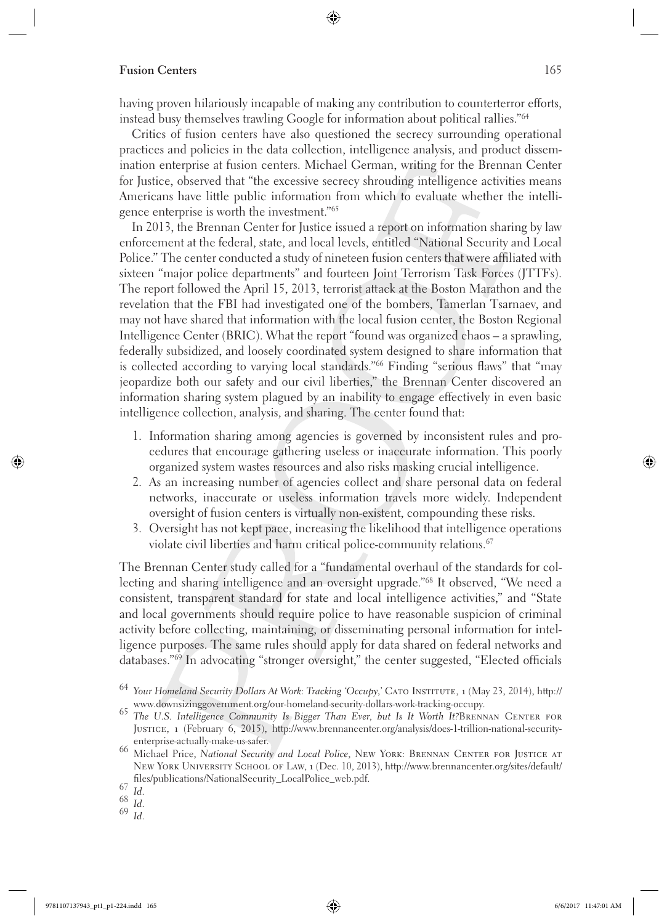having proven hilariously incapable of making any contribution to counterterror efforts, instead busy themselves trawling Google for information about political rallies."<sup>64</sup>

⊕

 Critics of fusion centers have also questioned the secrecy surrounding operational practices and policies in the data collection, intelligence analysis, and product dissemination enterprise at fusion centers. Michael German, writing for the Brennan Center for Justice, observed that "the excessive secrecy shrouding intelligence activities means Americans have little public information from which to evaluate whether the intelligence enterprise is worth the investment."<sup>65</sup>

 In 2013, the Brennan Center for Justice issued a report on information sharing by law enforcement at the federal, state, and local levels, entitled " National Security and Local Police." The center conducted a study of nineteen fusion centers that were affiliated with sixteen "major police departments" and fourteen Joint Terrorism Task Forces (JTTFs). The report followed the April 15, 2013, terrorist attack at the Boston Marathon and the revelation that the FBI had investigated one of the bombers, Tamerlan Tsarnaev , and may not have shared that information with the local fusion center, the Boston Regional Intelligence Center (BRIC). What the report " found was organized chaos – a sprawling, federally subsidized, and loosely coordinated system designed to share information that is collected according to varying local standards."<sup>66</sup> Finding "serious flaws" that "may jeopardize both our safety and our civil liberties," the Brennan Center discovered an information sharing system plagued by an inability to engage effectively in even basic intelligence collection, analysis, and sharing. The center found that:

- 1. Information sharing among agencies is governed by inconsistent rules and procedures that encourage gathering useless or inaccurate information. This poorly organized system wastes resources and also risks masking crucial intelligence.
- 2. As an increasing number of agencies collect and share personal data on federal networks, inaccurate or useless information travels more widely. Independent oversight of fusion centers is virtually non-existent, compounding these risks.
- 3. Oversight has not kept pace, increasing the likelihood that intelligence operations violate civil liberties and harm critical police-community relations.<sup>67</sup>

The Brennan Center study called for a "fundamental overhaul of the standards for collecting and sharing intelligence and an oversight upgrade."<sup>68</sup> It observed, "We need a consistent, transparent standard for state and local intelligence activities," and "State and local governments should require police to have reasonable suspicion of criminal activity before collecting, maintaining, or disseminating personal information for intelligence purposes. The same rules should apply for data shared on federal networks and databases."<sup>69</sup> In advocating "stronger oversight," the center suggested, "Elected officials

<sup>&</sup>lt;sup>64</sup> *Your Homeland Security Dollars At Work: Tracking 'Occupy,' CATO INSTITUTE, 1 (May 23, 2014), http://*<br>www.downsizinggovernment.org/our-homeland-security-dollars-work-tracking-occupy.

<sup>&</sup>lt;sup>65</sup> The U.S. Intelligence Community Is Bigger Than Ever, but Is It Worth It? BRENNAN CENTER FOR JUSTICE, 1 (February 6, 2015), http://www.brennancenter.org/analysis/does-1-trillion-national-security-

enterprise-actually-make-us-safer.<br>66 Michael Price, *National Security and Local Police*, New York: BRENNAN CENTER FOR JUSTICE AT NEW YORK UNIVERSITY SCHOOL OF LAW, 1 (Dec. 10, 2013), http://www.brennancenter.org/sites/default/ fi les/ publications/ NationalSecurity\_ LocalPolice\_ web.pdf . 67 *Id* . 68 *Id* . 69 *Id* .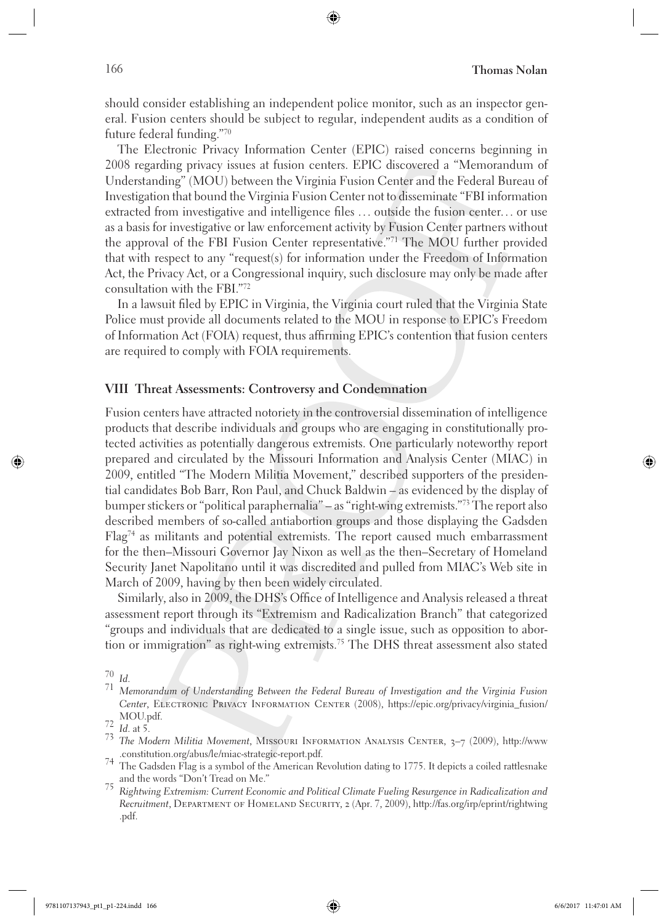should consider establishing an independent police monitor, such as an inspector general. Fusion centers should be subject to regular, independent audits as a condition of future federal funding."<sup>70</sup>

⊕

 The Electronic Privacy Information Center (EPIC) raised concerns beginning in 2008 regarding privacy issues at fusion centers. EPIC discovered a " Memorandum of Understanding" (MOU) between the Virginia Fusion Center and the Federal Bureau of Investigation that bound the Virginia Fusion Center not to disseminate " FBI information extracted from investigative and intelligence files ... outside the fusion center... or use as a basis for investigative or law enforcement activity by Fusion Center partners without the approval of the FBI Fusion Center representative."<sup>71</sup> The MOU further provided that with respect to any "request(s) for information under the Freedom of Information Act, the Privacy Act, or a Congressional inquiry, such disclosure may only be made after consultation with the FBI."72

In a lawsuit filed by EPIC in Virginia, the Virginia court ruled that the Virginia State Police must provide all documents related to the MOU in response to EPIC's Freedom of Information Act (FOIA) request, thus affirming EPIC's contention that fusion centers are required to comply with FOIA requirements.

# **VIII Threat Assessments: Controversy and Condemnation**

 Fusion centers have attracted notoriety in the controversial dissemination of intelligence products that describe individuals and groups who are engaging in constitutionally protected activities as potentially dangerous extremists. One particularly noteworthy report prepared and circulated by the Missouri Information and Analysis Center (MIAC) in 2009, entitled "The Modern Militia Movement," described supporters of the presidential candidates Bob Barr, Ron Paul, and Chuck Baldwin – as evidenced by the display of bumper stickers or "political paraphernalia" – as "right-wing extremists."<sup>73</sup> The report also described members of so-called antiabortion groups and those displaying the Gadsden  $Flag<sup>74</sup>$  as militants and potential extremists. The report caused much embarrassment for the then– Missouri Governor Jay Nixon as well as the then– Secretary of Homeland Security Janet Napolitano until it was discredited and pulled from MIAC's Web site in March of 2009, having by then been widely circulated.

Similarly, also in 2009, the DHS's Office of Intelligence and Analysis released a threat assessment report through its " Extremism and Radicalization Branch " that categorized " groups and individuals that are dedicated to a single issue, such as opposition to abortion or immigration" as right-wing extremists.<sup>75</sup> The DHS threat assessment also stated

<sup>70</sup>*Id* . 71 *Memorandum of Understanding Between the Federal Bureau of Investigation and the Virginia Fusion*  Center, ELECTRONIC PRIVACY INFORMATION CENTER (2008), https://epic.org/privacy/virginia\_fusion/ 72 *Id.* at 5.

<sup>&</sup>lt;sup>73</sup> The Modern Militia Movement, MISSOURI INFORMATION ANALYSIS CENTER, 3-7 (2009), http://www

 <sup>.</sup>constitution.org/ abus/ le/ miac- strategic- report.pdf . 74 The Gadsden Flag is a symbol of the American Revolution dating to 1775. It depicts a coiled rattlesnake and the words "Don't Tread on Me."

<sup>75</sup> *Rightwing Extremism: Current Economic and Political Climate Fueling Resurgence in Radicalization and*  Recruitment, DEPARTMENT OF HOMELAND SECURITY, 2 (Apr. 7, 2009), http://fas.org/irp/eprint/rightwing .pdf.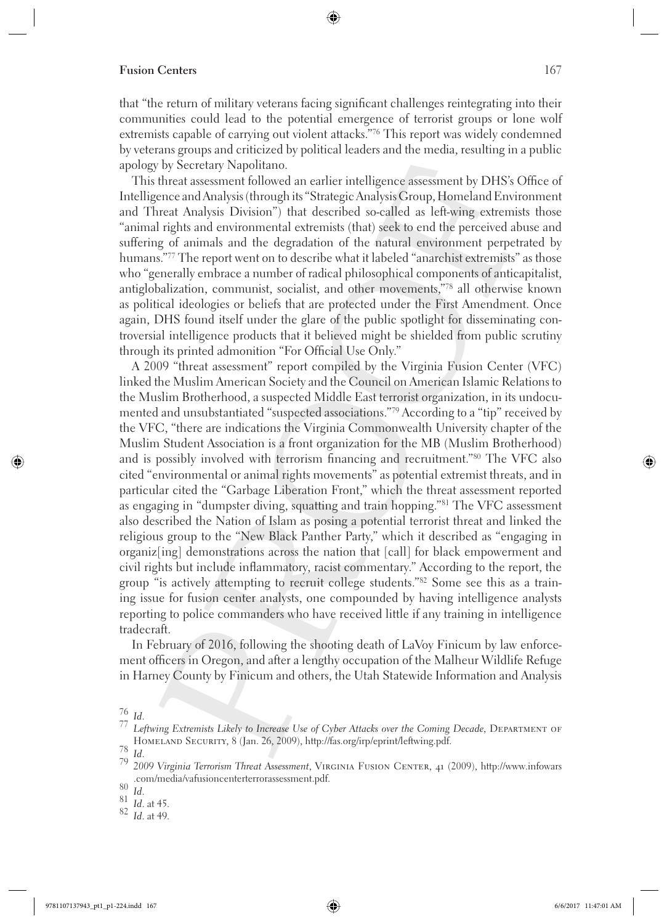that "the return of military veterans facing significant challenges reintegrating into their communities could lead to the potential emergence of terrorist groups or lone wolf extremists capable of carrying out violent attacks."76 This report was widely condemned by veterans groups and criticized by political leaders and the media, resulting in a public apology by Secretary Napolitano.

⊕

This threat assessment followed an earlier intelligence assessment by DHS's Office of Intelligence and Analysis (through its " Strategic Analysis Group, Homeland Environment and Threat Analysis Division") that described so-called as left-wing extremists those " animal rights and environmental extremists (that) seek to end the perceived abuse and suffering of animals and the degradation of the natural environment perpetrated by humans."<sup>77</sup> The report went on to describe what it labeled "anarchist extremists" as those who "generally embrace a number of radical philosophical components of anticapitalist, antiglobalization, communist, socialist, and other movements,"78 all otherwise known as political ideologies or beliefs that are protected under the First Amendment. Once again, DHS found itself under the glare of the public spotlight for disseminating controversial intelligence products that it believed might be shielded from public scrutiny through its printed admonition "For Official Use Only."

A 2009 "threat assessment" report compiled by the Virginia Fusion Center (VFC) linked the Muslim American Society and the Council on American Islamic Relations to the Muslim Brotherhood, a suspected Middle East terrorist organization, in its undocumented and unsubstantiated "suspected associations."<sup>79</sup> According to a "tip" received by the VFC, "there are indications the Virginia Commonwealth University chapter of the Muslim Student Association is a front organization for the MB (Muslim Brotherhood) and is possibly involved with terrorism financing and recruitment."<sup>80</sup> The VFC also cited "environmental or animal rights movements" as potential extremist threats, and in particular cited the "Garbage Liberation Front," which the threat assessment reported as engaging in "dumpster diving, squatting and train hopping."<sup>81</sup> The VFC assessment also described the Nation of Islam as posing a potential terrorist threat and linked the religious group to the "New Black Panther Party," which it described as "engaging in organiz[ing] demonstrations across the nation that [call] for black empowerment and civil rights but include inflammatory, racist commentary." According to the report, the group "is actively attempting to recruit college students." 82 Some see this as a training issue for fusion center analysts, one compounded by having intelligence analysts reporting to police commanders who have received little if any training in intelligence tradecraft.

 In February of 2016, following the shooting death of LaVoy Finicum by law enforcement officers in Oregon, and after a lengthy occupation of the Malheur Wildlife Refuge in Harney County by Finicum and others, the Utah Statewide Information and Analysis

<sup>76</sup>*Id* . 77 *Leftwing Extremists Likely to Increase Use of Cyber Attacks over the Coming Decade,* Department of HOMELAND SECURITY, 8 (Jan. 26, 2009), http://fas.org/irp/eprint/leftwing.pdf.<br>
78 *Id.* 2009 Virginia Terrorism Threat Assessment, VIRGINIA FUSION CENTER, 41 (2009), http://www.infowars

 <sup>.</sup>com/ media/ vafusioncenterterrorassessment.pdf . 80 *Id* . 81 *Id* . at 45.

<sup>82</sup> *Id* . at 49.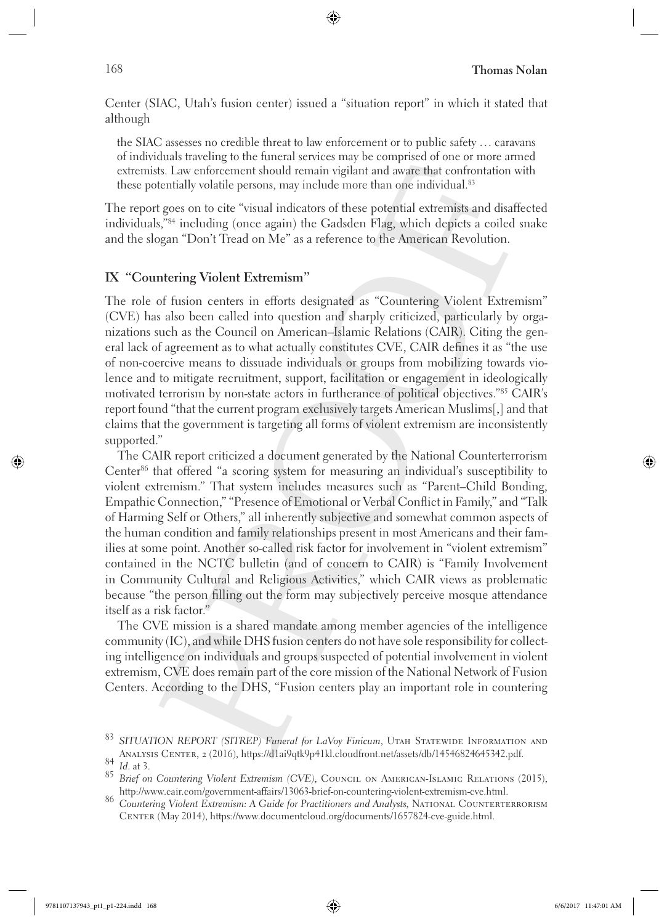Center (SIAC, Utah's fusion center) issued a "situation report" in which it stated that although

⊕

 the SIAC assesses no credible threat to law enforcement or to public safety . . . caravans of individuals traveling to the funeral services may be comprised of one or more armed extremists. Law enforcement should remain vigilant and aware that confrontation with these potentially volatile persons, may include more than one individual. 83

The report goes on to cite "visual indicators of these potential extremists and disaffected individuals,  $n_{\text{4}}$  including (once again) the Gadsden Flag, which depicts a coiled snake and the slogan "Don't Tread on Me" as a reference to the American Revolution.

# **IX "Countering Violent Extremism"**

The role of fusion centers in efforts designated as "Countering Violent Extremism" (CVE) has also been called into question and sharply criticized, particularly by organizations such as the Council on American – Islamic Relations (CAIR). Citing the general lack of agreement as to what actually constitutes CVE, CAIR defines it as "the use of non- coercive means to dissuade individuals or groups from mobilizing towards violence and to mitigate recruitment, support, facilitation or engagement in ideologically motivated terrorism by non-state actors in furtherance of political objectives."<sup>85</sup> CAIR's report found "that the current program exclusively targets American Muslims[,] and that claims that the government is targeting all forms of violent extremism are inconsistently supported."

 The CAIR report criticized a document generated by the National Counterterrorism Center<sup>86</sup> that offered "a scoring system for measuring an individual's susceptibility to violent extremism." That system includes measures such as "Parent-Child Bonding, Empathic Connection," "Presence of Emotional or Verbal Conflict in Family," and "Talk of Harming Self or Others," all inherently subjective and somewhat common aspects of the human condition and family relationships present in most Americans and their families at some point. Another so-called risk factor for involvement in "violent extremism" contained in the NCTC bulletin (and of concern to CAIR) is "Family Involvement in Community Cultural and Religious Activities," which CAIR views as problematic because "the person filling out the form may subjectively perceive mosque attendance itself as a risk factor."

 The CVE mission is a shared mandate among member agencies of the intelligence community (IC), and while DHS fusion centers do not have sole responsibility for collecting intelligence on individuals and groups suspected of potential involvement in violent extremism, CVE does remain part of the core mission of the National Network of Fusion Centers. According to the DHS, " Fusion centers play an important role in countering

SITUATION REPORT (SITREP) Funeral for LaVoy Finicum, UTAH STATEWIDE INFORMATION AND ANALYSIS CENTER, 2 (2016), https://d1ai9qtk9p41kl.cloudfront.net/assets/db/14546824645342.pdf. 34 *Id.* at 3.

<sup>85</sup> Brief on Countering Violent Extremism (CVE), COUNCIL ON AMERICAN-ISLAMIC RELATIONS (2015),

http:// www.cair.com/ government- affairs/ 13063- brief- on- countering- violent- extremism- cve.html . 86 *Countering Violent Extremism: A Guide for Practitioners and Analysts,* National Counterterrorism CENTER (May 2014), https://www.documentcloud.org/documents/1657824-cve-guide.html.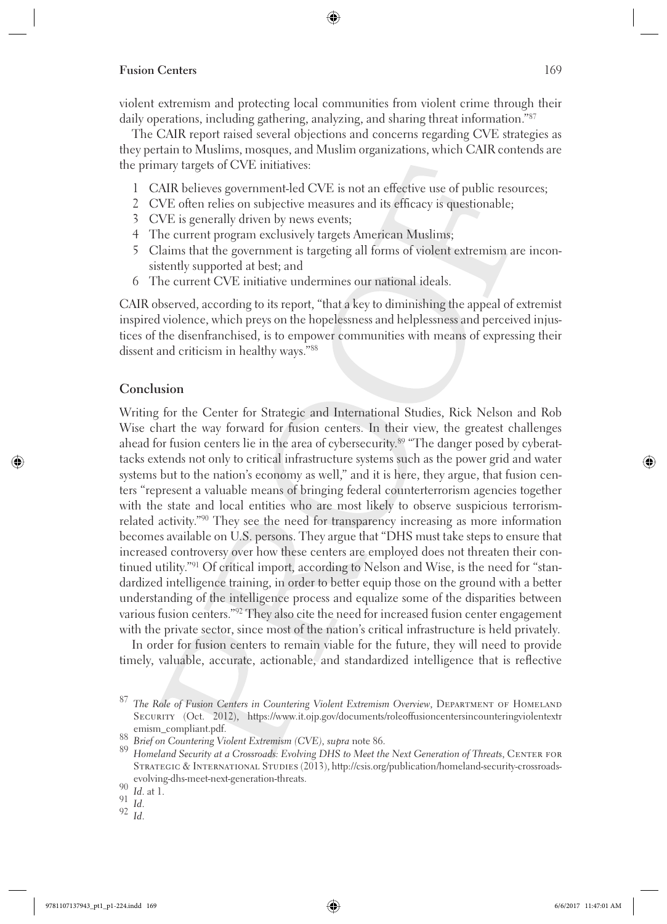violent extremism and protecting local communities from violent crime through their daily operations, including gathering, analyzing, and sharing threat information."<sup>87</sup>

⊕

 The CAIR report raised several objections and concerns regarding CVE strategies as they pertain to Muslims, mosques, and Muslim organizations, which CAIR contends are the primary targets of CVE initiatives:

- 1 CAIR believes government-led CVE is not an effective use of public resources;
- 2 CVE often relies on subjective measures and its efficacy is questionable;
- 3 CVE is generally driven by news events;
- 4 The current program exclusively targets American Muslims;
- 5 Claims that the government is targeting all forms of violent extremism are inconsistently supported at best; and
- 6 The current CVE initiative undermines our national ideals.

 CAIR observed, according to its report, " that a key to diminishing the appeal of extremist inspired violence, which preys on the hopelessness and helplessness and perceived injustices of the disenfranchised, is to empower communities with means of expressing their dissent and criticism in healthy ways."<sup>88</sup>

# **Conclusion**

 Writing for the Center for Strategic and International Studies, Rick Nelson and Rob Wise chart the way forward for fusion centers. In their view, the greatest challenges ahead for fusion centers lie in the area of cybersecurity.<sup>89</sup> "The danger posed by cyberattacks extends not only to critical infrastructure systems such as the power grid and water systems but to the nation's economy as well," and it is here, they argue, that fusion centers "represent a valuable means of bringing federal counterterrorism agencies together with the state and local entities who are most likely to observe suspicious terrorismrelated activity."<sup>90</sup> They see the need for transparency increasing as more information becomes available on U.S. persons. They argue that "DHS must take steps to ensure that increased controversy over how these centers are employed does not threaten their continued utility."<sup>91</sup> Of critical import, according to Nelson and Wise, is the need for "standardized intelligence training, in order to better equip those on the ground with a better understanding of the intelligence process and equalize some of the disparities between various fusion centers." <sup>92</sup> They also cite the need for increased fusion center engagement with the private sector, since most of the nation's critical infrastructure is held privately.

 In order for fusion centers to remain viable for the future, they will need to provide timely, valuable, accurate, actionable, and standardized intelligence that is reflective

<sup>&</sup>lt;sup>87</sup> The Role of Fusion Centers in Countering Violent Extremism Overview, DEPARTMENT OF HOMELAND SECURITY (Oct. 2012), https://www.it.ojp.gov/documents/roleoffusioncentersincounteringviolentextr emism\_compliant.pdf.<br><sup>88</sup> *Brief on Countering Violent Extremism (CVE), supra* note 86.

<sup>89</sup> Homeland Security at a Crossroads: Evolving DHS to Meet the Next Generation of Threats, CENTER FOR STRATEGIC & INTERNATIONAL STUDIES (2013), http://csis.org/publication/homeland-security-crossroads-% evolving-dhs-meet-next-generation-threats. 90 *Id*. at 1.

<sup>91</sup>*Id* . 92 *Id* .